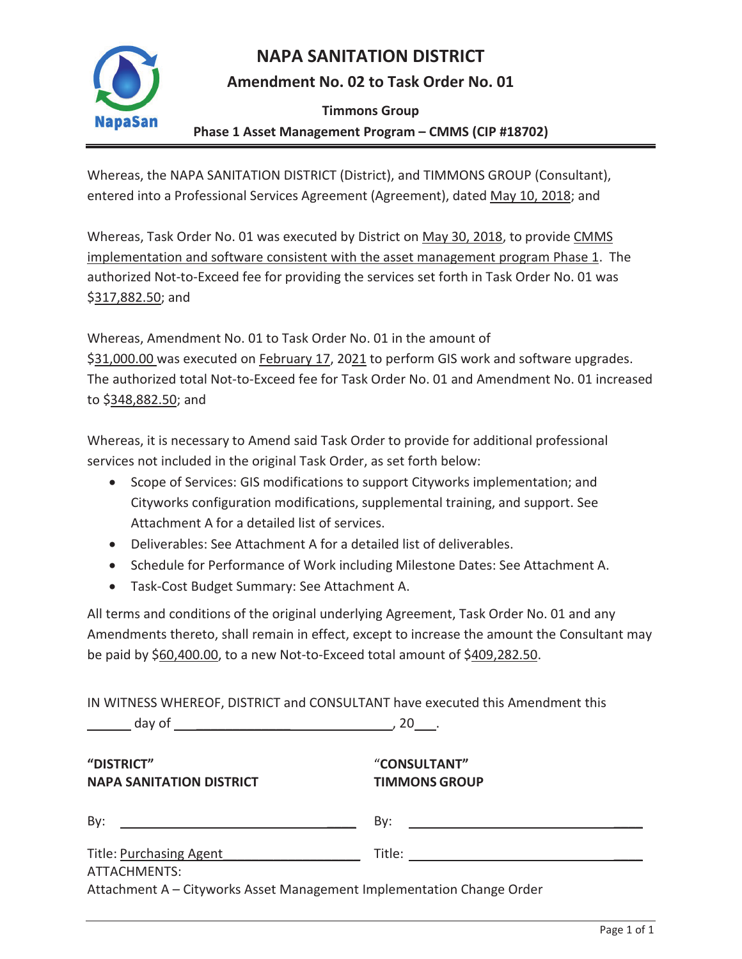

### **NAPA SANITATION DISTRICT**

### **Amendment No. 02 to Task Order No. 01**

**Timmons Group** 

#### **Phase 1 Asset Management Program – CMMS (CIP #18702)**

Whereas, the NAPA SANITATION DISTRICT (District), and TIMMONS GROUP (Consultant), entered into a Professional Services Agreement (Agreement), dated May 10, 2018; and

Whereas, Task Order No. 01 was executed by District on May 30, 2018, to provide CMMS implementation and software consistent with the asset management program Phase 1. The authorized Not-to-Exceed fee for providing the services set forth in Task Order No. 01 was \$317,882.50; and

Whereas, Amendment No. 01 to Task Order No. 01 in the amount of \$31,000.00 was executed on February 17, 2021 to perform GIS work and software upgrades. The authorized total Not-to-Exceed fee for Task Order No. 01 and Amendment No. 01 increased to \$348,882.50; and

Whereas, it is necessary to Amend said Task Order to provide for additional professional services not included in the original Task Order, as set forth below:

- Scope of Services: GIS modifications to support Cityworks implementation; and Cityworks configuration modifications, supplemental training, and support. See Attachment A for a detailed list of services.
- Deliverables: See Attachment A for a detailed list of deliverables.
- Schedule for Performance of Work including Milestone Dates: See Attachment A.
- Task-Cost Budget Summary: See Attachment A.

All terms and conditions of the original underlying Agreement, Task Order No. 01 and any Amendments thereto, shall remain in effect, except to increase the amount the Consultant may be paid by \$60,400.00, to a new Not-to-Exceed total amount of \$409,282.50.

IN WITNESS WHEREOF, DISTRICT and CONSULTANT have executed this Amendment this

| "DISTRICT"<br><b>NAPA SANITATION DISTRICT</b>                                                                                 | "CONSULTANT"<br><b>TIMMONS GROUP</b>                                                                                         |  |  |
|-------------------------------------------------------------------------------------------------------------------------------|------------------------------------------------------------------------------------------------------------------------------|--|--|
| By:<br><u> 1989 - Johann Barn, mars ann an t-Amhainn an t-Amhainn an t-Amhainn an t-Amhainn an t-Amhainn an t-Amhainn an </u> | By:<br><u> 1989 - Johann Barbara, martin amerikan basal dan berasal dan berasal dalam basal dalam basal dalam basal dala</u> |  |  |
| Title: Purchasing Agent                                                                                                       |                                                                                                                              |  |  |
| ATTACHMENTS:                                                                                                                  |                                                                                                                              |  |  |
| Attachment A - Cityworks Asset Management Implementation Change Order                                                         |                                                                                                                              |  |  |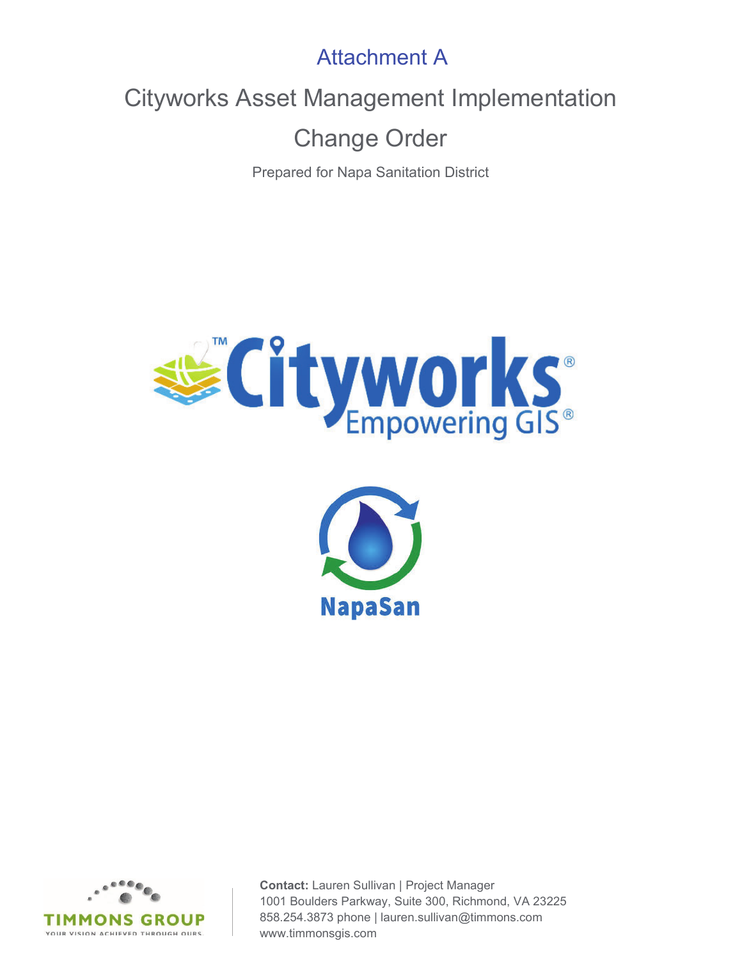Attachment A

Cityworks Asset Management Implementation

Change Order

Prepared for Napa Sanitation District







**Contact:** Lauren Sullivan | Project Manager 1001 Boulders Parkway, Suite 300, Richmond, VA 23225 858.254.3873 phone | lauren.sullivan@timmons.com www.timmonsgis.com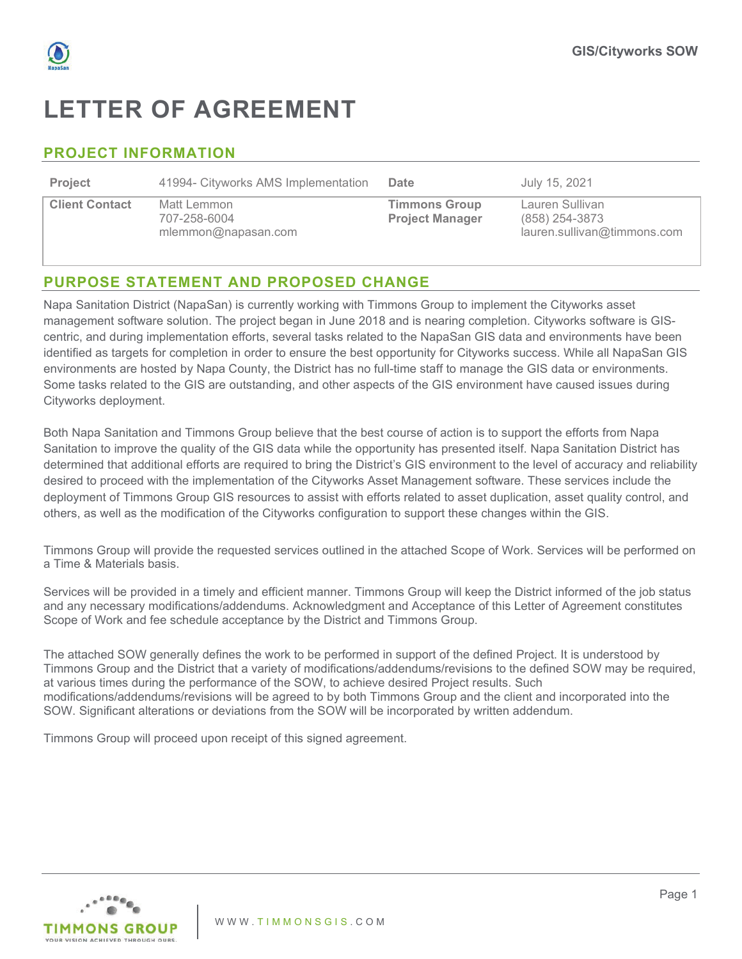

## **LETTER OF AGREEMENT**

### **PROJECT INFORMATION**

| <b>Project</b>        | 41994- Cityworks AMS Implementation                | Date                                           | July 15, 2021                                                    |
|-----------------------|----------------------------------------------------|------------------------------------------------|------------------------------------------------------------------|
| <b>Client Contact</b> | Matt Lemmon<br>707-258-6004<br>mlemmon@napasan.com | <b>Timmons Group</b><br><b>Project Manager</b> | Lauren Sullivan<br>(858) 254-3873<br>lauren.sullivan@timmons.com |

### **PURPOSE STATEMENT AND PROPOSED CHANGE**

Napa Sanitation District (NapaSan) is currently working with Timmons Group to implement the Cityworks asset management software solution. The project began in June 2018 and is nearing completion. Cityworks software is GIScentric, and during implementation efforts, several tasks related to the NapaSan GIS data and environments have been identified as targets for completion in order to ensure the best opportunity for Cityworks success. While all NapaSan GIS environments are hosted by Napa County, the District has no full-time staff to manage the GIS data or environments. Some tasks related to the GIS are outstanding, and other aspects of the GIS environment have caused issues during Cityworks deployment.

Both Napa Sanitation and Timmons Group believe that the best course of action is to support the efforts from Napa Sanitation to improve the quality of the GIS data while the opportunity has presented itself. Napa Sanitation District has determined that additional efforts are required to bring the District's GIS environment to the level of accuracy and reliability desired to proceed with the implementation of the Cityworks Asset Management software. These services include the deployment of Timmons Group GIS resources to assist with efforts related to asset duplication, asset quality control, and others, as well as the modification of the Cityworks configuration to support these changes within the GIS.

Timmons Group will provide the requested services outlined in the attached Scope of Work. Services will be performed on a Time & Materials basis.

Services will be provided in a timely and efficient manner. Timmons Group will keep the District informed of the job status and any necessary modifications/addendums. Acknowledgment and Acceptance of this Letter of Agreement constitutes Scope of Work and fee schedule acceptance by the District and Timmons Group.

The attached SOW generally defines the work to be performed in support of the defined Project. It is understood by Timmons Group and the District that a variety of modifications/addendums/revisions to the defined SOW may be required, at various times during the performance of the SOW, to achieve desired Project results. Such modifications/addendums/revisions will be agreed to by both Timmons Group and the client and incorporated into the SOW. Significant alterations or deviations from the SOW will be incorporated by written addendum.

Timmons Group will proceed upon receipt of this signed agreement.

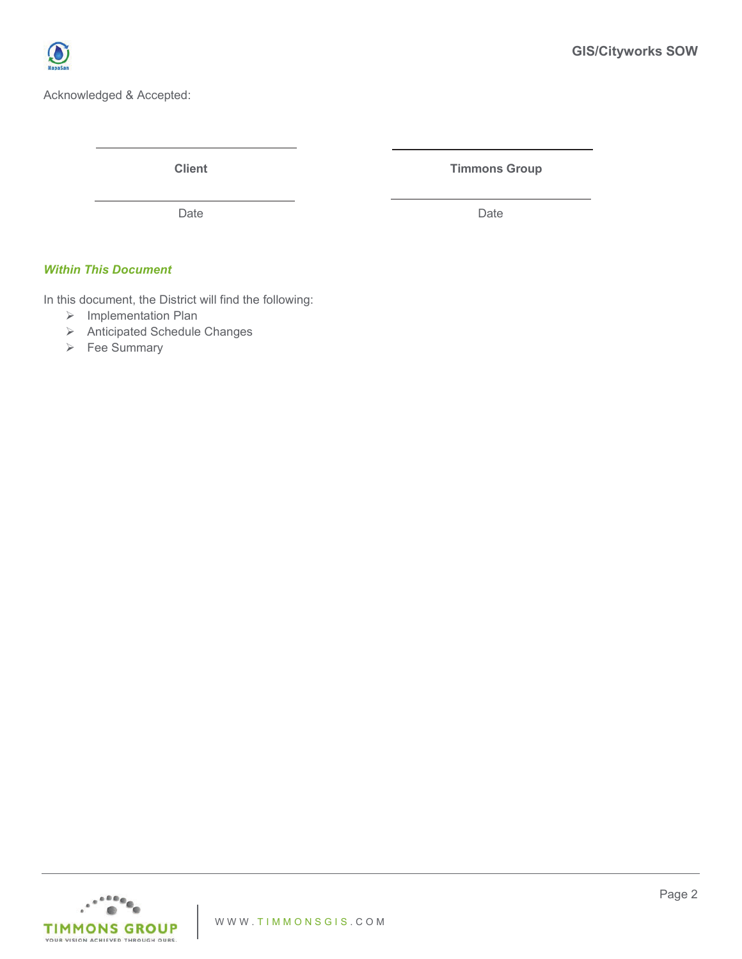

Acknowledged & Accepted:

**Client** Client **Timmons Group** 

Date **Date** Date **Date** Date **Date** 

#### *Within This Document*

In this document, the District will find the following:

- ¾ Implementation Plan
- ¾ Anticipated Schedule Changes
- ¾ Fee Summary

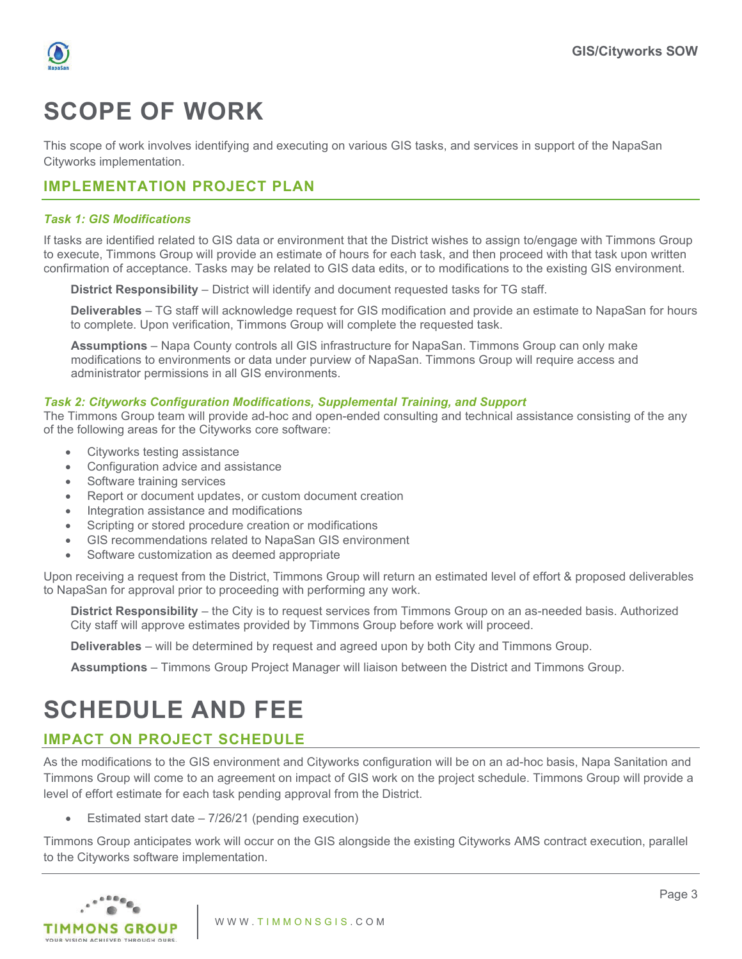



# **SCOPE OF WORK**

This scope of work involves identifying and executing on various GIS tasks, and services in support of the NapaSan Cityworks implementation.

#### **IMPLEMENTATION PROJECT PLAN**

#### *Task 1: GIS Modifications*

If tasks are identified related to GIS data or environment that the District wishes to assign to/engage with Timmons Group to execute, Timmons Group will provide an estimate of hours for each task, and then proceed with that task upon written confirmation of acceptance. Tasks may be related to GIS data edits, or to modifications to the existing GIS environment.

**District Responsibility** – District will identify and document requested tasks for TG staff.

**Deliverables** – TG staff will acknowledge request for GIS modification and provide an estimate to NapaSan for hours to complete. Upon verification, Timmons Group will complete the requested task.

**Assumptions** – Napa County controls all GIS infrastructure for NapaSan. Timmons Group can only make modifications to environments or data under purview of NapaSan. Timmons Group will require access and administrator permissions in all GIS environments.

#### *Task 2: Cityworks Configuration Modifications, Supplemental Training, and Support*

The Timmons Group team will provide ad-hoc and open-ended consulting and technical assistance consisting of the any of the following areas for the Cityworks core software:

- Cityworks testing assistance
- Configuration advice and assistance
- Software training services
- Report or document updates, or custom document creation
- Integration assistance and modifications
- Scripting or stored procedure creation or modifications
- GIS recommendations related to NapaSan GIS environment
- Software customization as deemed appropriate

Upon receiving a request from the District, Timmons Group will return an estimated level of effort & proposed deliverables to NapaSan for approval prior to proceeding with performing any work.

**District Responsibility** – the City is to request services from Timmons Group on an as-needed basis. Authorized City staff will approve estimates provided by Timmons Group before work will proceed.

**Deliverables** – will be determined by request and agreed upon by both City and Timmons Group.

**Assumptions** – Timmons Group Project Manager will liaison between the District and Timmons Group.

## **SCHEDULE AND FEE**

### **IMPACT ON PROJECT SCHEDULE**

As the modifications to the GIS environment and Cityworks configuration will be on an ad-hoc basis, Napa Sanitation and Timmons Group will come to an agreement on impact of GIS work on the project schedule. Timmons Group will provide a level of effort estimate for each task pending approval from the District.

Estimated start date  $-7/26/21$  (pending execution)

Timmons Group anticipates work will occur on the GIS alongside the existing Cityworks AMS contract execution, parallel to the Cityworks software implementation.